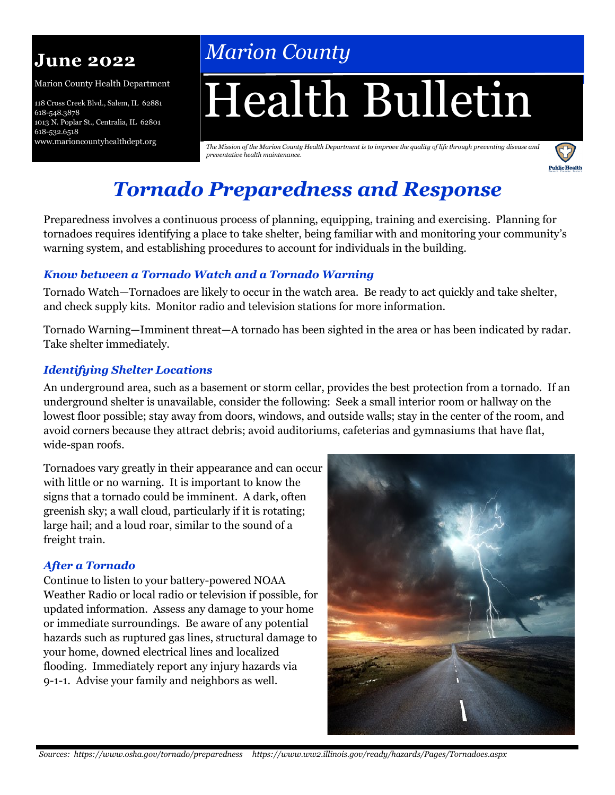# **June 2022**

Marion County Health Department

118 Cross Creek Blvd., Salem, IL 62881 618-548.3878 1013 N. Poplar St., Centralia, IL 62801 618-532.6518 www.marioncountyhealthdept.org

# *Marion County*

# Health Bulletin

*The Mission of the Marion County Health Department is to improve the quality of life through preventing disease and preventative health maintenance.* 



# *Tornado Preparedness and Response*

Preparedness involves a continuous process of planning, equipping, training and exercising. Planning for tornadoes requires identifying a place to take shelter, being familiar with and monitoring your community's warning system, and establishing procedures to account for individuals in the building.

## *Know between a Tornado Watch and a Tornado Warning*

Tornado Watch—Tornadoes are likely to occur in the watch area. Be ready to act quickly and take shelter, and check supply kits. Monitor radio and television stations for more information.

Tornado Warning—Imminent threat—A tornado has been sighted in the area or has been indicated by radar. Take shelter immediately.

## *Identifying Shelter Locations*

An underground area, such as a basement or storm cellar, provides the best protection from a tornado. If an underground shelter is unavailable, consider the following: Seek a small interior room or hallway on the lowest floor possible; stay away from doors, windows, and outside walls; stay in the center of the room, and avoid corners because they attract debris; avoid auditoriums, cafeterias and gymnasiums that have flat, wide-span roofs.

Tornadoes vary greatly in their appearance and can occur with little or no warning. It is important to know the signs that a tornado could be imminent. A dark, often greenish sky; a wall cloud, particularly if it is rotating; large hail; and a loud roar, similar to the sound of a freight train.

## *After a Tornado*

Continue to listen to your battery-powered NOAA Weather Radio or local radio or television if possible, for updated information. Assess any damage to your home or immediate surroundings. Be aware of any potential hazards such as ruptured gas lines, structural damage to your home, downed electrical lines and localized flooding. Immediately report any injury hazards via 9-1-1. Advise your family and neighbors as well.